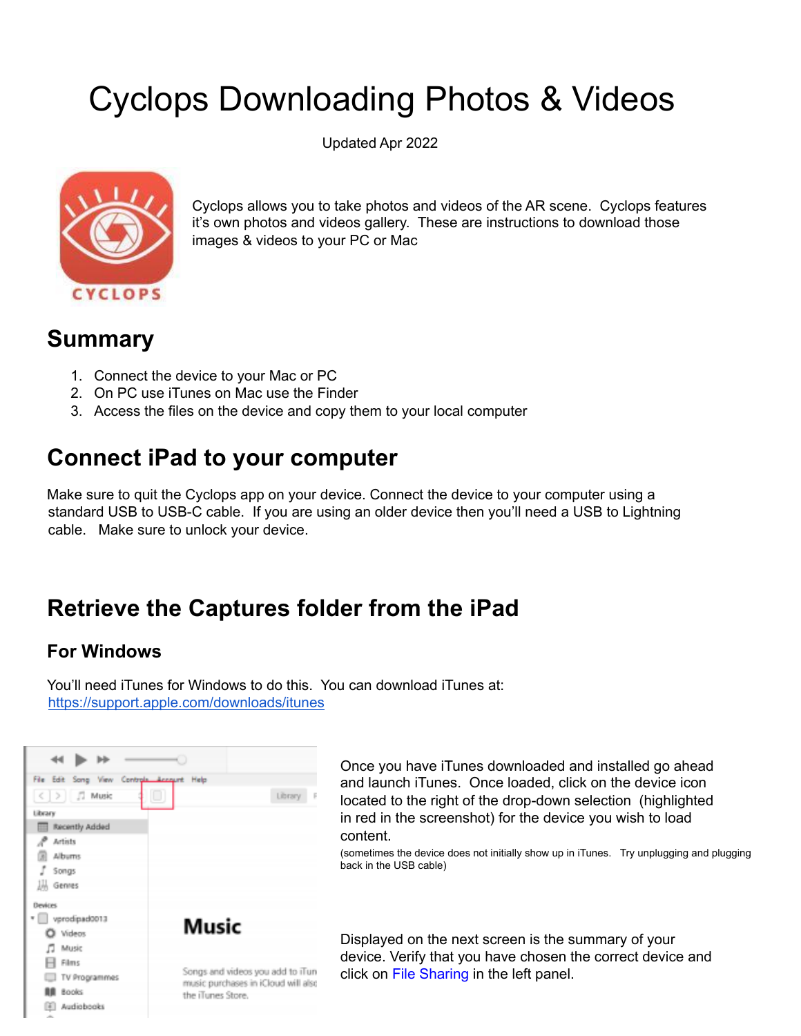# Cyclops Downloading Photos & Videos

Updated Apr 2022



Cyclops allows you to take photos and videos of the AR scene. Cyclops features it's own photos and videos gallery. These are instructions to download those images & videos to your PC or Mac

### **Summary**

- 1. Connect the device to your Mac or PC
- 2. On PC use iTunes on Mac use the Finder
- 3. Access the files on the device and copy them to your local computer

### **Connect iPad to your computer**

Make sure to quit the Cyclops app on your device. Connect the device to your computer using a standard USB to USB-C cable. If you are using an older device then you'll need a USB to Lightning cable. Make sure to unlock your device.

### **Retrieve the Captures folder from the iPad**

### **For Windows**

You'll need iTunes for Windows to do this. You can download iTunes at: <https://support.apple.com/downloads/itunes>



Once you have iTunes downloaded and installed go ahead and launch iTunes. Once loaded, click on the device icon located to the right of the drop-down selection (highlighted in red in the screenshot) for the device you wish to load content.

(sometimes the device does not initially show up in iTunes. Try unplugging and plugging back in the USB cable)

Displayed on the next screen is the summary of your device. Verify that you have chosen the correct device and click on File Sharing in the left panel.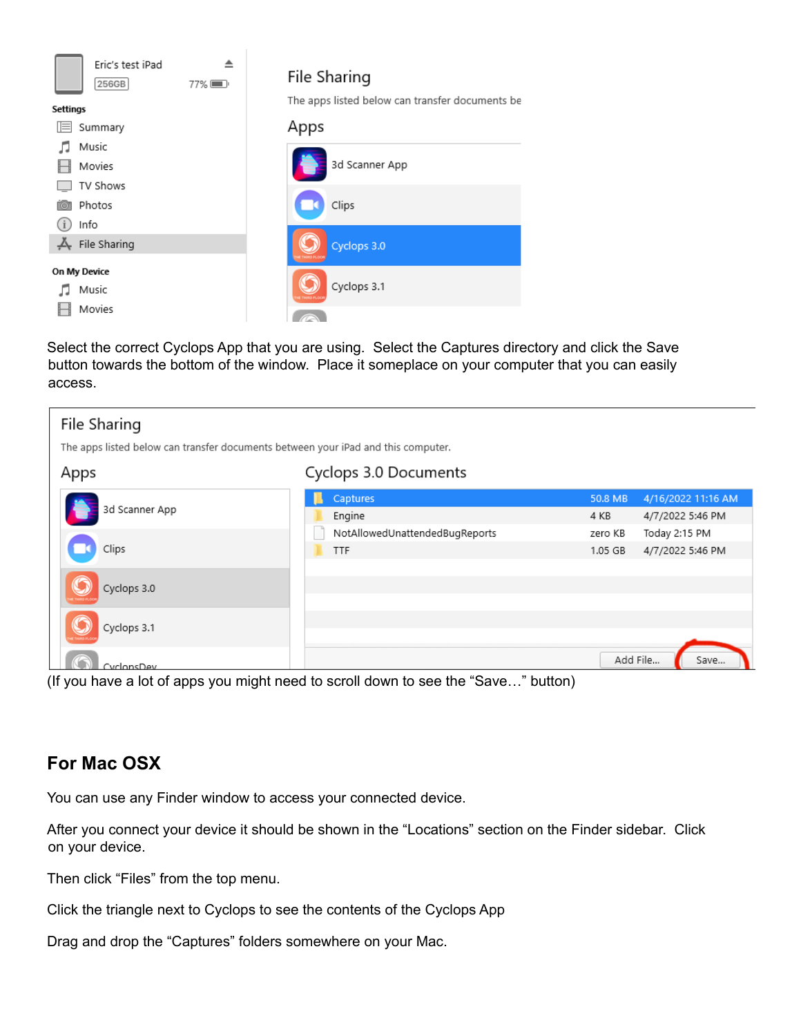

Select the correct Cyclops App that you are using. Select the Captures directory and click the Save button towards the bottom of the window. Place it someplace on your computer that you can easily access.

| File Sharing                                                                      |                                                                                                                             |         |                    |  |  |
|-----------------------------------------------------------------------------------|-----------------------------------------------------------------------------------------------------------------------------|---------|--------------------|--|--|
| The apps listed below can transfer documents between your iPad and this computer. |                                                                                                                             |         |                    |  |  |
| Apps                                                                              | Cyclops 3.0 Documents                                                                                                       |         |                    |  |  |
| 3d Scanner App                                                                    | Captures                                                                                                                    | 50.8 MB | 4/16/2022 11:16 AM |  |  |
|                                                                                   | Engine                                                                                                                      | 4 KB    | 4/7/2022 5:46 PM   |  |  |
|                                                                                   | NotAllowedUnattendedBugReports                                                                                              | zero KB | Today 2:15 PM      |  |  |
| Clips                                                                             | <b>TTF</b>                                                                                                                  | 1.05 GB | 4/7/2022 5:46 PM   |  |  |
| Cyclops 3.0                                                                       |                                                                                                                             |         |                    |  |  |
| Cyclops 3.1                                                                       |                                                                                                                             |         |                    |  |  |
| CyclonsDev                                                                        | $\mathbf{u}$ , and $\mathbf{v}$ , the contract of the contract of $\mathbf{u}$ , $\mathbf{u}$ , $\mathbf{u}$ , $\mathbf{v}$ |         | Add File<br>Save   |  |  |

(If you have a lot of apps you might need to scroll down to see the "Save…" button)

### **For Mac OSX**

You can use any Finder window to access your connected device.

After you connect your device it should be shown in the "Locations" section on the Finder sidebar. Click on your device.

Then click "Files" from the top menu.

Click the triangle next to Cyclops to see the contents of the Cyclops App

Drag and drop the "Captures" folders somewhere on your Mac.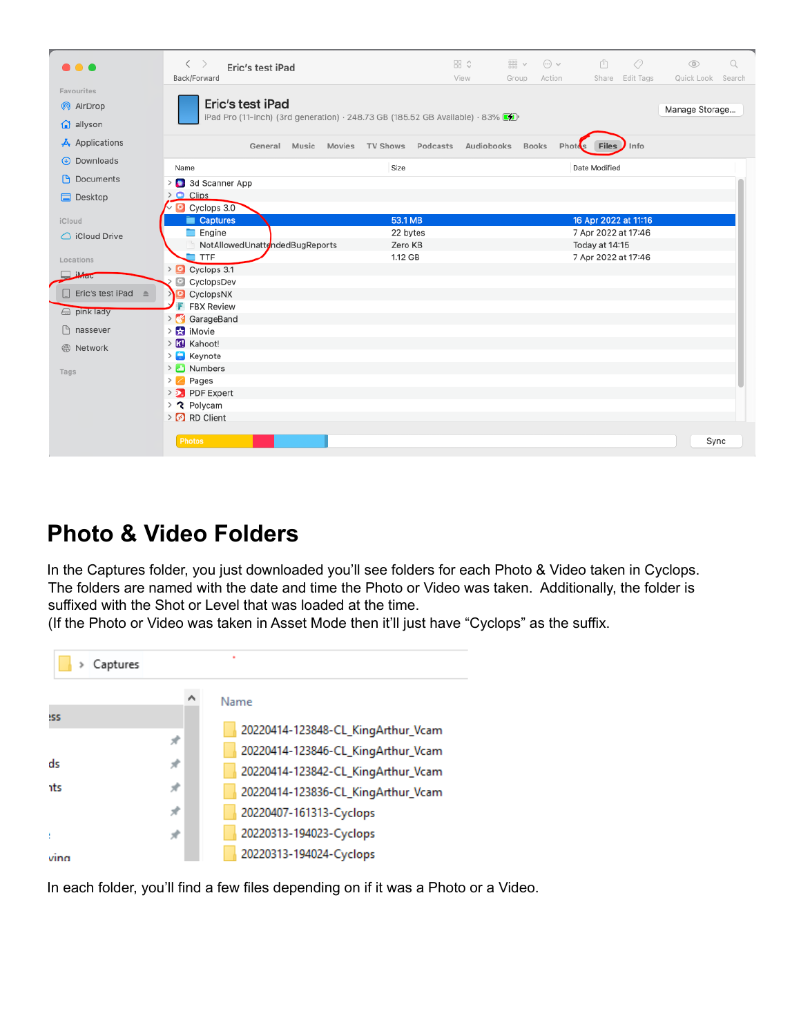| $\bullet\bullet\bullet$          | $\left\langle \right\rangle$<br>Eric's test iPad<br>Back/Forward                                                    | 品☆<br>$rac{1}{\sqrt{100}}$ v<br>View<br>Group. | ⊘<br>$\odot$ v<br>Å<br>Share Edit Tags<br>Action | $\Omega$<br>$\circledcirc$<br>Quick Look<br>Search |
|----------------------------------|---------------------------------------------------------------------------------------------------------------------|------------------------------------------------|--------------------------------------------------|----------------------------------------------------|
| Favourites<br>AirDrop<br>allyson | Eric's test iPad<br>iPad Pro (11-inch) (3rd generation) $\cdot$ 248.73 GB (185.52 GB Available) $\cdot$ 83% $\circ$ |                                                |                                                  | Manage Storage                                     |
| $\overline{A}$ Applications      | Music Movies TV Shows Podcasts<br>General                                                                           | Audiobooks                                     | Info<br><b>Books</b><br>Photos<br><b>Files</b>   |                                                    |
| 4 Downloads                      | Size<br>Name                                                                                                        |                                                | Date Modified                                    |                                                    |
| <b>P</b> Documents               | 3d Scanner App<br>$\rightarrow$                                                                                     |                                                |                                                  |                                                    |
| Desktop                          | $\geq$ $\circ$ Clips<br>Cyclops 3.0                                                                                 |                                                |                                                  |                                                    |
| iCloud                           | Captures                                                                                                            | 53.1 MB                                        | 16 Apr 2022 at 11:16                             |                                                    |
| $\bigcirc$ iCloud Drive          | Engine                                                                                                              | 22 bytes<br>Zero KB                            | 7 Apr 2022 at 17:46                              |                                                    |
| Locations                        | NotAllowedUnattendedBugReports<br>TTF                                                                               | 1.12 GB                                        | Today at 14:15<br>7 Apr 2022 at 17:46            |                                                    |
| Mac                              | > Cyclops 3.1<br>CyclopsDev<br>G                                                                                    |                                                |                                                  |                                                    |
| Fric's test iPad                 | CyclopsNX                                                                                                           |                                                |                                                  |                                                    |
| a pink lady                      | <b>F</b> FBX Review<br>> GarageBand                                                                                 |                                                |                                                  |                                                    |
| nassever<br>I٩                   | $\frac{1}{2}$ iMovie                                                                                                |                                                |                                                  |                                                    |
| <b>B</b> Network                 | > Kil Kahoot!<br>$\sum$ Keynote                                                                                     |                                                |                                                  |                                                    |
| Tags                             | > Numbers                                                                                                           |                                                |                                                  |                                                    |
|                                  | $\geq$ Pages                                                                                                        |                                                |                                                  |                                                    |
|                                  | > > PDF Expert                                                                                                      |                                                |                                                  |                                                    |
|                                  | > ? Polycam                                                                                                         |                                                |                                                  |                                                    |
|                                  | > 8 RD Client                                                                                                       |                                                |                                                  |                                                    |
|                                  | <b>Photos</b>                                                                                                       |                                                |                                                  | Sync                                               |

### **Photo & Video Folders**

In the Captures folder, you just downloaded you'll see folders for each Photo & Video taken in Cyclops. The folders are named with the date and time the Photo or Video was taken. Additionally, the folder is suffixed with the Shot or Level that was loaded at the time.

(If the Photo or Video was taken in Asset Mode then it'll just have "Cyclops" as the suffix.



In each folder, you'll find a few files depending on if it was a Photo or a Video.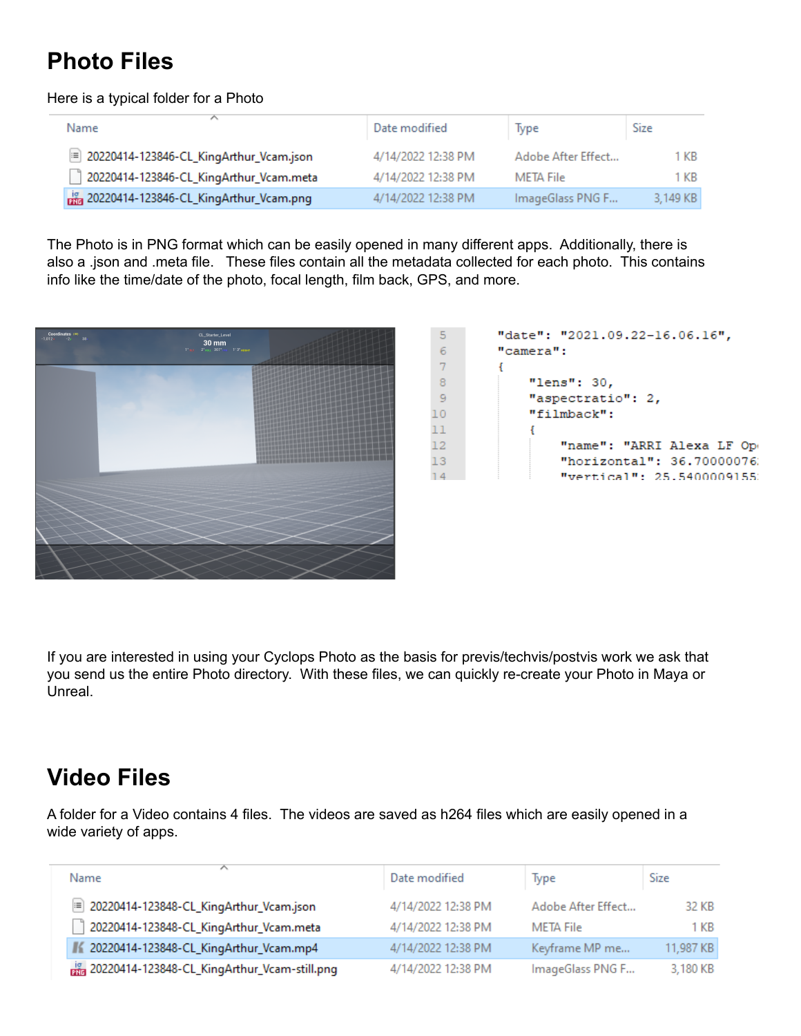## **Photo Files**

#### Here is a typical folder for a Photo

| Name                                    | Date modified      | Type               | Size     |
|-----------------------------------------|--------------------|--------------------|----------|
| 20220414-123846-CL_KingArthur_Vcam.json | 4/14/2022 12:38 PM | Adobe After Effect | 1 KB.    |
| 20220414-123846-CL_KingArthur_Vcam.meta | 4/14/2022 12:38 PM | META File          | 1 KB     |
| 20220414-123846-CL_KingArthur_Vcam.png  | 4/14/2022 12:38 PM | ImageGlass PNG F   | 3,149 KB |

The Photo is in PNG format which can be easily opened in many different apps. Additionally, there is also a .json and .meta file. These files contain all the metadata collected for each photo. This contains info like the time/date of the photo, focal length, film back, GPS, and more.



| -5             | "date": "2021.09.22-16.06.16", |
|----------------|--------------------------------|
| -6             | "camera":                      |
| 7              |                                |
| 8              | "lens": 30,                    |
| $\overline{q}$ | "aspectratio": 2,              |
| LO             | "filmback":                    |
| L1             |                                |
| $\overline{2}$ | "name": "ARRI Alexa LF Op      |
| L3             | "horizontal": 36.70000076      |
| $\sqrt{4}$     | "vertical": 25.5400009155      |
|                |                                |

If you are interested in using your Cyclops Photo as the basis for previs/techvis/postvis work we ask that you send us the entire Photo directory. With these files, we can quickly re-create your Photo in Maya or Unreal.

### **Video Files**

A folder for a Video contains 4 files. The videos are saved as h264 files which are easily opened in a wide variety of apps.

| Name                                             | Date modified      | Type               | Size      |
|--------------------------------------------------|--------------------|--------------------|-----------|
| 20220414-123848-CL_KingArthur_Vcam.json          | 4/14/2022 12:38 PM | Adobe After Effect | 32 KB     |
| 20220414-123848-CL_KingArthur_Vcam.meta          | 4/14/2022 12:38 PM | META File          | 1 KB      |
| ■≤ 20220414-123848-CL_KingArthur_Vcam.mp4        | 4/14/2022 12:38 PM | Keyframe MP me     | 11,987 KB |
| and 20220414-123848-CL_KingArthur_Vcam-still.png | 4/14/2022 12:38 PM | ImageGlass PNG F   | 3,180 KB  |